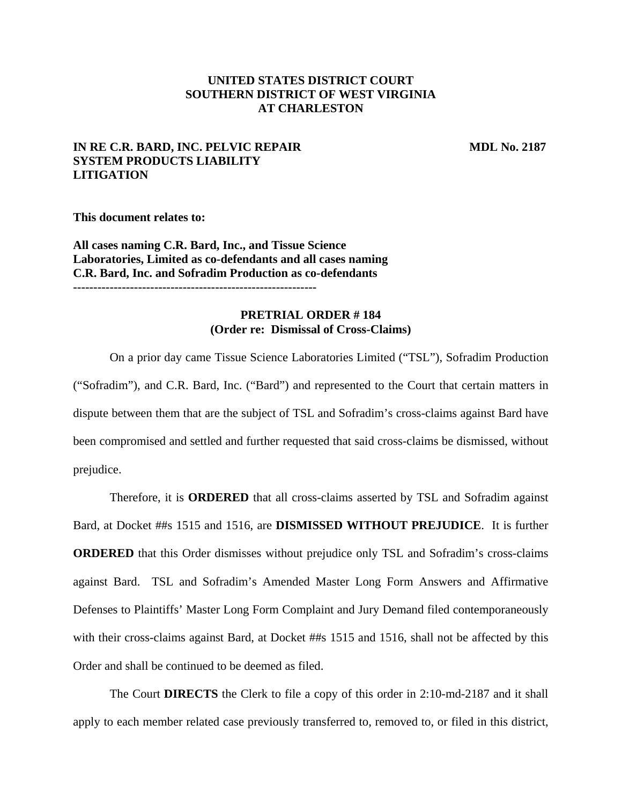## **UNITED STATES DISTRICT COURT SOUTHERN DISTRICT OF WEST VIRGINIA AT CHARLESTON**

## **IN RE C.R. BARD, INC. PELVIC REPAIR SYSTEM PRODUCTS LIABILITY LITIGATION**

**MDL No. 2187** 

**This document relates to:** 

**All cases naming C.R. Bard, Inc., and Tissue Science Laboratories, Limited as co-defendants and all cases naming C.R. Bard, Inc. and Sofradim Production as co-defendants ------------------------------------------------------------** 

## **PRETRIAL ORDER # 184 (Order re: Dismissal of Cross-Claims)**

 On a prior day came Tissue Science Laboratories Limited ("TSL"), Sofradim Production ("Sofradim"), and C.R. Bard, Inc. ("Bard") and represented to the Court that certain matters in dispute between them that are the subject of TSL and Sofradim's cross-claims against Bard have been compromised and settled and further requested that said cross-claims be dismissed, without prejudice.

 Therefore, it is **ORDERED** that all cross-claims asserted by TSL and Sofradim against Bard, at Docket ##s 1515 and 1516, are **DISMISSED WITHOUT PREJUDICE**. It is further **ORDERED** that this Order dismisses without prejudice only TSL and Sofradim's cross-claims against Bard. TSL and Sofradim's Amended Master Long Form Answers and Affirmative Defenses to Plaintiffs' Master Long Form Complaint and Jury Demand filed contemporaneously with their cross-claims against Bard, at Docket ##s 1515 and 1516, shall not be affected by this Order and shall be continued to be deemed as filed.

The Court **DIRECTS** the Clerk to file a copy of this order in 2:10-md-2187 and it shall apply to each member related case previously transferred to, removed to, or filed in this district,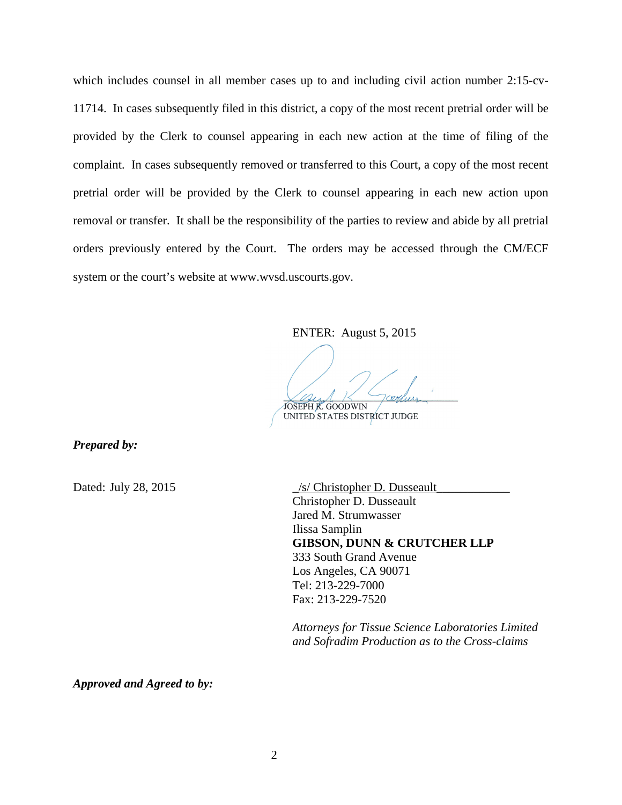which includes counsel in all member cases up to and including civil action number 2:15-cv-11714. In cases subsequently filed in this district, a copy of the most recent pretrial order will be provided by the Clerk to counsel appearing in each new action at the time of filing of the complaint. In cases subsequently removed or transferred to this Court, a copy of the most recent pretrial order will be provided by the Clerk to counsel appearing in each new action upon removal or transfer. It shall be the responsibility of the parties to review and abide by all pretrial orders previously entered by the Court. The orders may be accessed through the CM/ECF system or the court's website at www.wvsd.uscourts.gov.

ENTER: August 5, 2015

JOSEPH R. GOODWIN

UNITED STATES DISTRICT JUDGE

*Prepared by:*

Dated: July 28, 2015 \_/s/ Christopher D. Dusseault\_\_\_\_\_\_\_\_\_\_\_\_ Christopher D. Dusseault Jared M. Strumwasser Ilissa Samplin  **GIBSON, DUNN & CRUTCHER LLP**  333 South Grand Avenue Los Angeles, CA 90071 Tel: 213-229-7000 Fax: 213-229-7520

> *Attorneys for Tissue Science Laboratories Limited and Sofradim Production as to the Cross-claims*

*Approved and Agreed to by:*